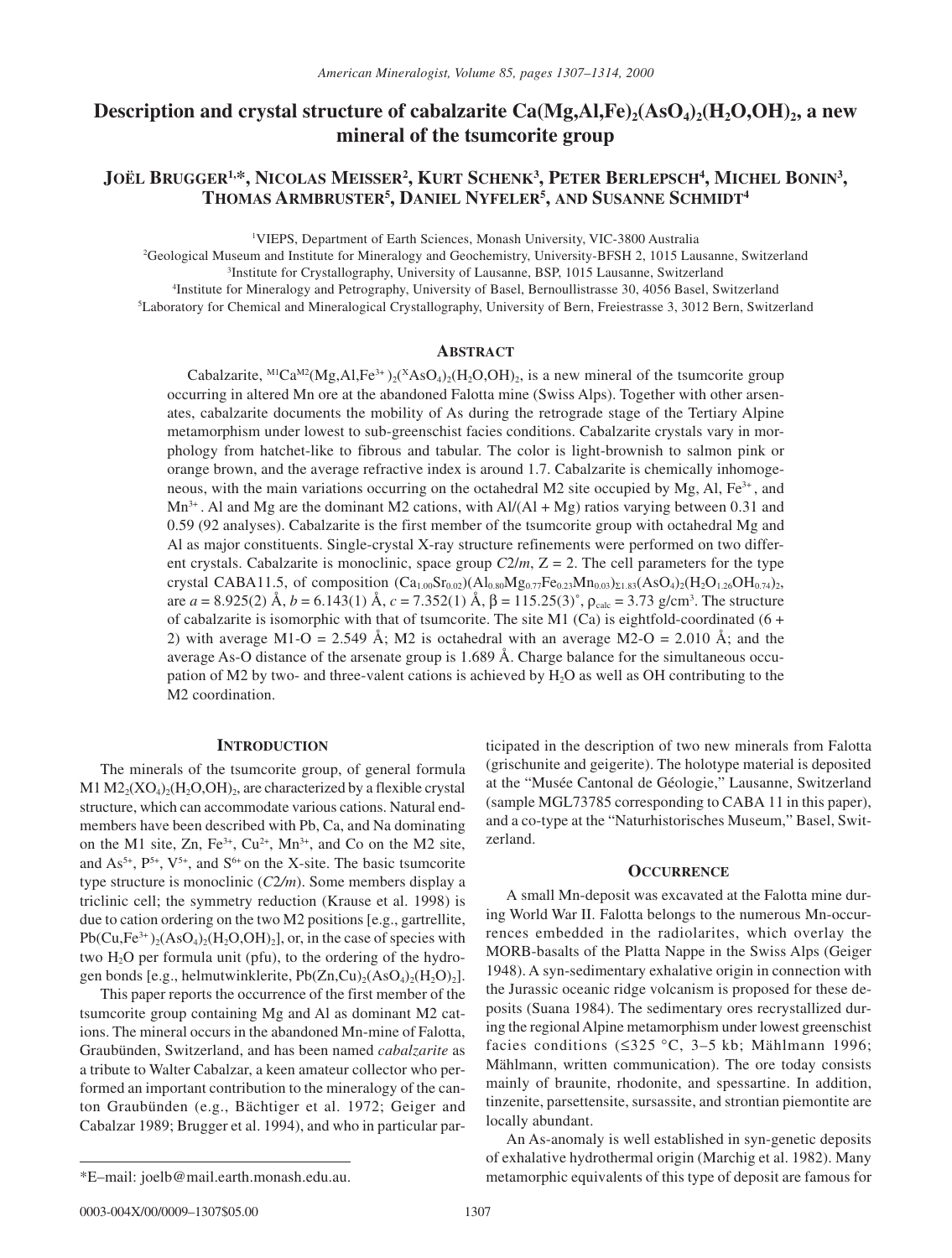# **Description and crystal structure of cabalzarite Ca(Mg,Al,Fe)<sub>2</sub>(AsO<sub>4</sub>)<sub>2</sub>(H<sub>2</sub>O,OH)<sub>2</sub>, a new mineral of the tsumcorite group**

# **JOËL BRUGGER1,\*, NICOLAS MEISSER2 , KURT SCHENK3 , PETER BERLEPSCH4 , MICHEL BONIN3 , THOMAS ARMBRUSTER5 , DANIEL NYFELER5 , AND SUSANNE SCHMIDT4**

1 VIEPS, Department of Earth Sciences, Monash University, VIC-3800 Australia

2 Geological Museum and Institute for Mineralogy and Geochemistry, University-BFSH 2, 1015 Lausanne, Switzerland 3 Institute for Crystallography, University of Lausanne, BSP, 1015 Lausanne, Switzerland

4 Institute for Mineralogy and Petrography, University of Basel, Bernoullistrasse 30, 4056 Basel, Switzerland

5 Laboratory for Chemical and Mineralogical Crystallography, University of Bern, Freiestrasse 3, 3012 Bern, Switzerland

# **ABSTRACT**

Cabalzarite, <sup>M1</sup>Ca<sup>M2</sup>(Mg,Al,Fe<sup>3+</sup>)<sub>2</sub>(<sup>X</sup>AsO<sub>4</sub>)<sub>2</sub>(H<sub>2</sub>O,OH)<sub>2</sub>, is a new mineral of the tsumcorite group occurring in altered Mn ore at the abandoned Falotta mine (Swiss Alps). Together with other arsenates, cabalzarite documents the mobility of As during the retrograde stage of the Tertiary Alpine metamorphism under lowest to sub-greenschist facies conditions. Cabalzarite crystals vary in morphology from hatchet-like to fibrous and tabular. The color is light-brownish to salmon pink or orange brown, and the average refractive index is around 1.7. Cabalzarite is chemically inhomogeneous, with the main variations occurring on the octahedral M2 site occupied by Mg, Al,  $Fe<sup>3+</sup>$ , and  $Mn^{3+}$ . Al and Mg are the dominant M2 cations, with Al/(Al + Mg) ratios varying between 0.31 and 0.59 (92 analyses). Cabalzarite is the first member of the tsumcorite group with octahedral Mg and Al as major constituents. Single-crystal X-ray structure refinements were performed on two different crystals. Cabalzarite is monoclinic, space group  $C2/m$ ,  $Z = 2$ . The cell parameters for the type crystal CABA11.5, of composition  $(Ca_{1.00}Sr_{0.02})(Al_{0.80}Mg_{0.77}Fe_{0.23}Mn_{0.03})_{\Sigma1.83}(AsO_4)_2(H_2O_{1.26}OH_{0.74})_2$ , are *a* = 8.925(2) Å, *b* = 6.143(1) Å, *c* = 7.352(1) Å, β = 115.25(3)°, ρ<sub>calc</sub> = 3.73 g/cm<sup>3</sup>. The structure of cabalzarite is isomorphic with that of tsumcorite. The site M1 (Ca) is eightfold-coordinated ( $6 +$ 2) with average M1-O = 2.549 Å; M2 is octahedral with an average M2-O = 2.010 Å; and the average As-O distance of the arsenate group is 1.689 Å. Charge balance for the simultaneous occupation of M2 by two- and three-valent cations is achieved by  $H_2O$  as well as OH contributing to the M2 coordination.

# **INTRODUCTION**

The minerals of the tsumcorite group, of general formula M1  $M2<sub>2</sub>(XO<sub>4</sub>)<sub>2</sub>(H<sub>2</sub>O, OH)<sub>2</sub>$ , are characterized by a flexible crystal structure, which can accommodate various cations. Natural endmembers have been described with Pb, Ca, and Na dominating on the M1 site, Zn, Fe<sup>3+</sup>, Cu<sup>2+</sup>, Mn<sup>3+</sup>, and Co on the M2 site, and  $As^{5+}$ ,  $P^{5+}$ ,  $V^{5+}$ , and  $S^{6+}$  on the X-site. The basic tsumcorite type structure is monoclinic (*C*2*/m*). Some members display a triclinic cell; the symmetry reduction (Krause et al. 1998) is due to cation ordering on the two M2 positions [e.g., gartrellite,  $Pb(Cu,Fe^{3+})<sub>2</sub>(AsO<sub>4</sub>)<sub>2</sub>(H<sub>2</sub>O,OH)<sub>2</sub>]$ , or, in the case of species with two H2O per formula unit (pfu), to the ordering of the hydrogen bonds [e.g., helmutwinklerite,  $Pb(Zn,Cu)_{2}(AsO_{4})_{2}(H_{2}O)_{2}$ ].

This paper reports the occurrence of the first member of the tsumcorite group containing Mg and Al as dominant M2 cations. The mineral occurs in the abandoned Mn-mine of Falotta, Graubünden, Switzerland, and has been named *cabalzarite* as a tribute to Walter Cabalzar, a keen amateur collector who performed an important contribution to the mineralogy of the canton Graubünden (e.g., Bächtiger et al. 1972; Geiger and Cabalzar 1989; Brugger et al. 1994), and who in particular participated in the description of two new minerals from Falotta (grischunite and geigerite). The holotype material is deposited at the "Musée Cantonal de Géologie," Lausanne, Switzerland (sample MGL73785 corresponding to CABA 11 in this paper), and a co-type at the "Naturhistorisches Museum," Basel, Switzerland.

# **OCCURRENCE**

A small Mn-deposit was excavated at the Falotta mine during World War II. Falotta belongs to the numerous Mn-occurrences embedded in the radiolarites, which overlay the MORB-basalts of the Platta Nappe in the Swiss Alps (Geiger 1948). A syn-sedimentary exhalative origin in connection with the Jurassic oceanic ridge volcanism is proposed for these deposits (Suana 1984). The sedimentary ores recrystallized during the regional Alpine metamorphism under lowest greenschist facies conditions (≤325 °C, 3–5 kb; Mählmann 1996; Mählmann, written communication). The ore today consists mainly of braunite, rhodonite, and spessartine. In addition, tinzenite, parsettensite, sursassite, and strontian piemontite are locally abundant.

An As-anomaly is well established in syn-genetic deposits of exhalative hydrothermal origin (Marchig et al. 1982). Many metamorphic equivalents of this type of deposit are famous for

<sup>\*</sup>E–mail: joelb@mail.earth.monash.edu.au.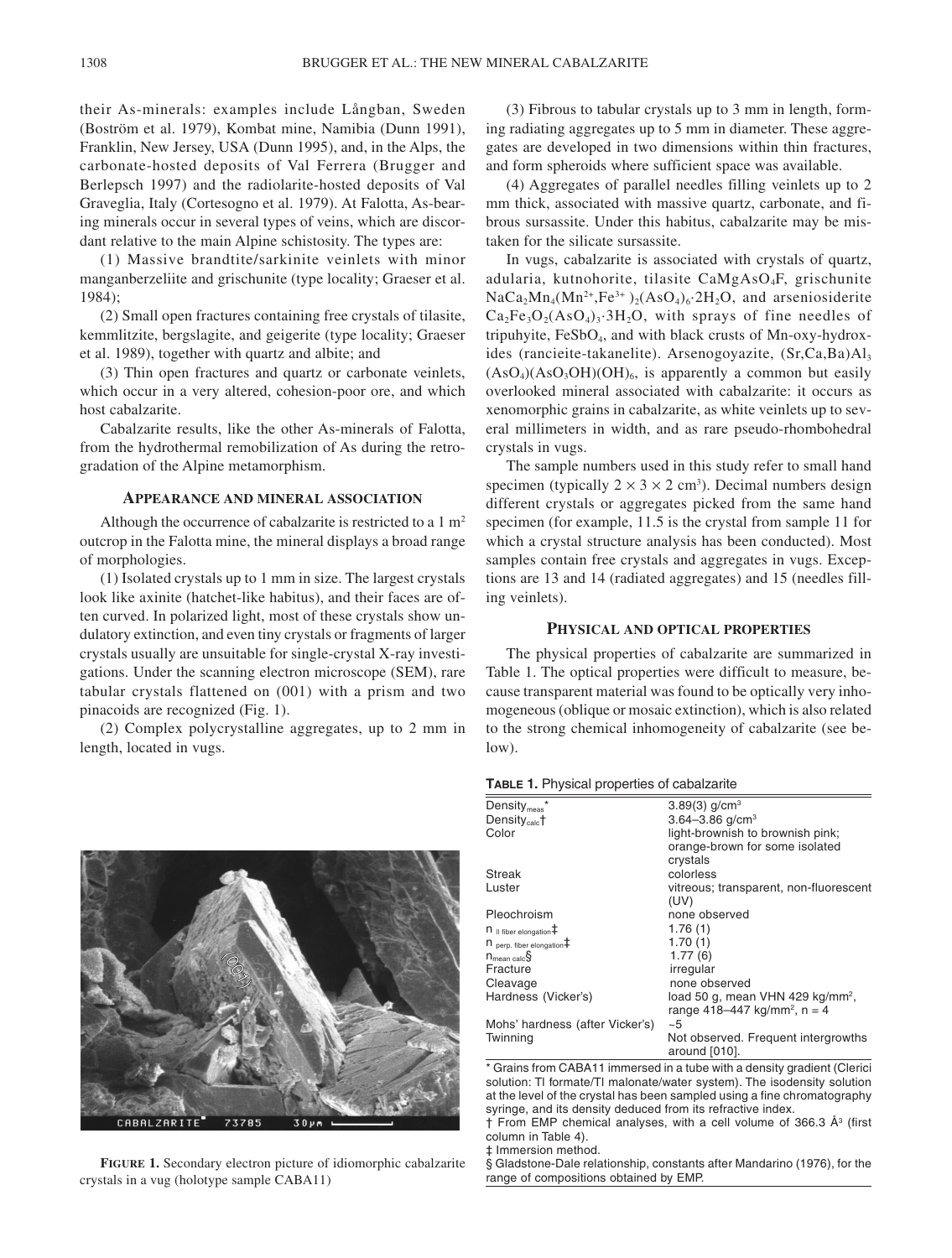their As-minerals: examples include Långban, Sweden (Boström et al. 1979), Kombat mine, Namibia (Dunn 1991), Franklin, New Jersey, USA (Dunn 1995), and, in the Alps, the carbonate-hosted deposits of Val Ferrera (Brugger and Berlepsch 1997) and the radiolarite-hosted deposits of Val Graveglia, Italy (Cortesogno et al. 1979). At Falotta, As-bearing minerals occur in several types of veins, which are discordant relative to the main Alpine schistosity. The types are:

(1) Massive brandtite/sarkinite veinlets with minor manganberzeliite and grischunite (type locality; Graeser et al. 1984);

(2) Small open fractures containing free crystals of tilasite, kemmlitzite, bergslagite, and geigerite (type locality; Graeser et al. 1989), together with quartz and albite; and

(3) Thin open fractures and quartz or carbonate veinlets, which occur in a very altered, cohesion-poor ore, and which host cabalzarite.

Cabalzarite results, like the other As-minerals of Falotta, from the hydrothermal remobilization of As during the retrogradation of the Alpine metamorphism.

# **APPEARANCE AND MINERAL ASSOCIATION**

Although the occurrence of cabalzarite is restricted to a  $1 \text{ m}^2$ outcrop in the Falotta mine, the mineral displays a broad range of morphologies.

(1) Isolated crystals up to 1 mm in size. The largest crystals look like axinite (hatchet-like habitus), and their faces are often curved. In polarized light, most of these crystals show undulatory extinction, and even tiny crystals or fragments of larger crystals usually are unsuitable for single-crystal X-ray investigations. Under the scanning electron microscope (SEM), rare tabular crystals flattened on (001) with a prism and two pinacoids are recognized (Fig. 1).

(2) Complex polycrystalline aggregates, up to 2 mm in length, located in vugs.



(3) Fibrous to tabular crystals up to 3 mm in length, forming radiating aggregates up to 5 mm in diameter. These aggregates are developed in two dimensions within thin fractures, and form spheroids where sufficient space was available.

(4) Aggregates of parallel needles filling veinlets up to 2 mm thick, associated with massive quartz, carbonate, and fibrous sursassite. Under this habitus, cabalzarite may be mistaken for the silicate sursassite.

In vugs, cabalzarite is associated with crystals of quartz, adularia, kutnohorite, tilasite CaMgAsO4F, grischunite  $NaCa<sub>2</sub>Mn<sub>4</sub>(Mn<sup>2+</sup>,Fe<sup>3+</sup>)<sub>2</sub>(AsO<sub>4</sub>)<sub>6</sub>·2H<sub>2</sub>O$ , and arseniosiderite  $Ca<sub>2</sub>Fe<sub>3</sub>O<sub>2</sub>(AsO<sub>4</sub>)<sub>3</sub>·3H<sub>2</sub>O$ , with sprays of fine needles of tripuhyite, FeSbO4, and with black crusts of Mn-oxy-hydroxides (rancieite-takanelite). Arsenogoyazite, (Sr,Ca,Ba)Al3  $(AsO<sub>4</sub>)(AsO<sub>3</sub>OH)(OH)<sub>6</sub>$ , is apparently a common but easily overlooked mineral associated with cabalzarite: it occurs as xenomorphic grains in cabalzarite, as white veinlets up to several millimeters in width, and as rare pseudo-rhombohedral crystals in vugs.

The sample numbers used in this study refer to small hand specimen (typically  $2 \times 3 \times 2$  cm<sup>3</sup>). Decimal numbers design different crystals or aggregates picked from the same hand specimen (for example, 11.5 is the crystal from sample 11 for which a crystal structure analysis has been conducted). Most samples contain free crystals and aggregates in vugs. Exceptions are 13 and 14 (radiated aggregates) and 15 (needles filling veinlets).

#### **PHYSICAL AND OPTICAL PROPERTIES**

The physical properties of cabalzarite are summarized in Table 1. The optical properties were difficult to measure, because transparent material was found to be optically very inhomogeneous (oblique or mosaic extinction), which is also related to the strong chemical inhomogeneity of cabalzarite (see below).

| $Density_{\text{meas}}$ <sup>*</sup> | $3.89(3)$ g/cm <sup>3</sup>                                                              |
|--------------------------------------|------------------------------------------------------------------------------------------|
| Density <sub>calc</sub> +            | 3.64-3.86 $q/cm3$                                                                        |
| Color                                | light-brownish to brownish pink;<br>orange-brown for some isolated<br>crystals           |
| <b>Streak</b>                        | colorless                                                                                |
| Luster                               | vitreous; transparent, non-fluorescent<br>(UV)                                           |
| Pleochroism                          | none observed                                                                            |
| $n$ II fiber elongation $\ddagger$   | 1.76(1)                                                                                  |
| $nperp$ fiber elongation $\ddagger$  | 1.70(1)                                                                                  |
| $n_{\text{mean calc}}$               | 1.77(6)                                                                                  |
| Fracture                             | irregular                                                                                |
| Cleavage                             | none observed                                                                            |
| Hardness (Vicker's)                  | load 50 g, mean VHN 429 kg/mm <sup>2</sup> ,<br>range 418–447 kg/mm <sup>2</sup> , n = 4 |
| Mohs' hardness (after Vicker's)      | ~1                                                                                       |
| Twinning                             | Not observed. Frequent intergrowths<br>around [010].                                     |

\* Grains from CABA11 immersed in a tube with a density gradient (Clerici solution: Tl formate/Tl malonate/water system). The isodensity solution at the level of the crystal has been sampled using a fine chromatography syringe, and its density deduced from its refractive index.

† From EMP chemical analyses, with a cell volume of 366.3 Å<sup>3</sup> (first column in Table 4).

‡ Immersion method.

§ Gladstone-Dale relationship, constants after Mandarino (1976), for the range of compositions obtained by EMP.

**FIGURE 1.** Secondary electron picture of idiomorphic cabalzarite crystals in a vug (holotype sample CABA11)

**Conduction**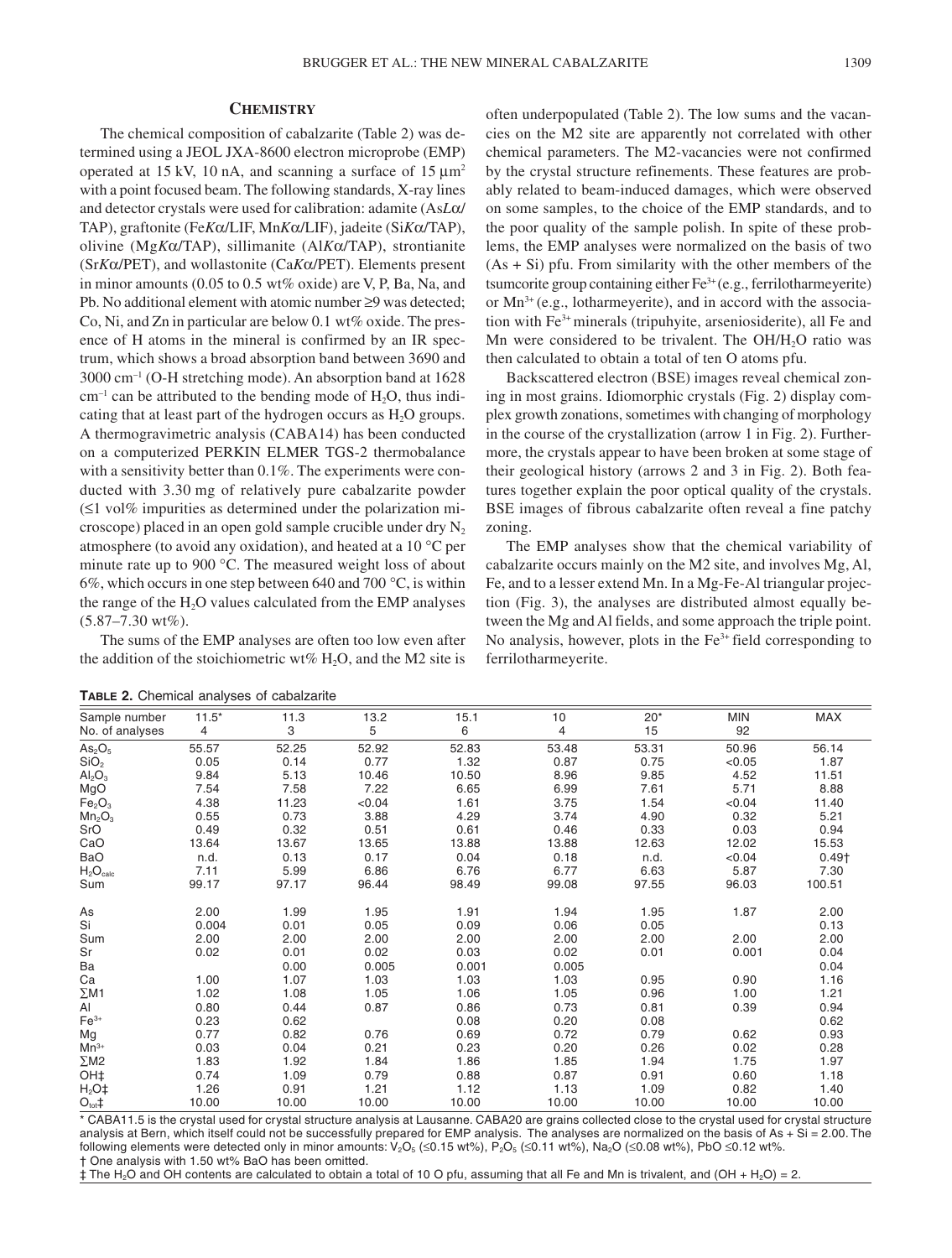# **CHEMISTRY**

The chemical composition of cabalzarite (Table 2) was determined using a JEOL JXA-8600 electron microprobe (EMP) operated at 15 kV, 10 nA, and scanning a surface of  $15 \mu m^2$ with a point focused beam. The following standards, X-ray lines and detector crystals were used for calibration: adamite (As*L*α/ TAP), graftonite (Fe*K*α/LIF, Mn*K*α/LIF), jadeite (Si*K*α/TAP), olivine (Mg*K*α/TAP), sillimanite (Al*K*α/TAP), strontianite (Sr*K*α/PET), and wollastonite (Ca*K*α/PET). Elements present in minor amounts (0.05 to 0.5 wt% oxide) are V, P, Ba, Na, and Pb. No additional element with atomic number ≥9 was detected; Co, Ni, and Zn in particular are below 0.1 wt% oxide. The presence of H atoms in the mineral is confirmed by an IR spectrum, which shows a broad absorption band between 3690 and 3000 cm–1 (O-H stretching mode). An absorption band at 1628  $cm^{-1}$  can be attributed to the bending mode of  $H_2O$ , thus indicating that at least part of the hydrogen occurs as  $H_2O$  groups. A thermogravimetric analysis (CABA14) has been conducted on a computerized PERKIN ELMER TGS-2 thermobalance with a sensitivity better than 0.1%. The experiments were conducted with 3.30 mg of relatively pure cabalzarite powder (≤1 vol% impurities as determined under the polarization microscope) placed in an open gold sample crucible under dry  $N_2$ atmosphere (to avoid any oxidation), and heated at a 10 °C per minute rate up to 900 °C. The measured weight loss of about 6%, which occurs in one step between 640 and 700  $\degree$ C, is within the range of the  $H_2O$  values calculated from the EMP analyses (5.87–7.30 wt%).

The sums of the EMP analyses are often too low even after the addition of the stoichiometric wt%  $H<sub>2</sub>O$ , and the M2 site is often underpopulated (Table 2). The low sums and the vacancies on the M2 site are apparently not correlated with other chemical parameters. The M2-vacancies were not confirmed by the crystal structure refinements. These features are probably related to beam-induced damages, which were observed on some samples, to the choice of the EMP standards, and to the poor quality of the sample polish. In spite of these problems, the EMP analyses were normalized on the basis of two  $(As + Si)$  pfu. From similarity with the other members of the tsumcorite group containing either  $Fe^{3+}$  (e.g., ferrilotharmeyerite) or  $Mn^{3+}$  (e.g., lotharmeyerite), and in accord with the association with Fe3+ minerals (tripuhyite, arseniosiderite), all Fe and Mn were considered to be trivalent. The OH/H<sub>2</sub>O ratio was then calculated to obtain a total of ten O atoms pfu.

Backscattered electron (BSE) images reveal chemical zoning in most grains. Idiomorphic crystals (Fig. 2) display complex growth zonations, sometimes with changing of morphology in the course of the crystallization (arrow 1 in Fig. 2). Furthermore, the crystals appear to have been broken at some stage of their geological history (arrows 2 and 3 in Fig. 2). Both features together explain the poor optical quality of the crystals. BSE images of fibrous cabalzarite often reveal a fine patchy zoning.

The EMP analyses show that the chemical variability of cabalzarite occurs mainly on the M2 site, and involves Mg, Al, Fe, and to a lesser extend Mn. In a Mg-Fe-Al triangular projection (Fig. 3), the analyses are distributed almost equally between the Mg and Al fields, and some approach the triple point. No analysis, however, plots in the  $Fe<sup>3+</sup>$  field corresponding to ferrilotharmeyerite.

| Sample number                  | $11.5*$ | 11.3  | 13.2   | 15.1  | 10             | $20*$ | <b>MIN</b> | MAX               |
|--------------------------------|---------|-------|--------|-------|----------------|-------|------------|-------------------|
| No. of analyses                | 4       | 3     | 5      | 6     | $\overline{4}$ | 15    | 92         |                   |
| As <sub>2</sub> O <sub>5</sub> | 55.57   | 52.25 | 52.92  | 52.83 | 53.48          | 53.31 | 50.96      | 56.14             |
| SiO <sub>2</sub>               | 0.05    | 0.14  | 0.77   | 1.32  | 0.87           | 0.75  | < 0.05     | 1.87              |
| Al <sub>2</sub> O <sub>3</sub> | 9.84    | 5.13  | 10.46  | 10.50 | 8.96           | 9.85  | 4.52       | 11.51             |
| MgO                            | 7.54    | 7.58  | 7.22   | 6.65  | 6.99           | 7.61  | 5.71       | 8.88              |
| Fe <sub>2</sub> O <sub>3</sub> | 4.38    | 11.23 | < 0.04 | 1.61  | 3.75           | 1.54  | < 0.04     | 11.40             |
| Mn <sub>2</sub> O <sub>3</sub> | 0.55    | 0.73  | 3.88   | 4.29  | 3.74           | 4.90  | 0.32       | 5.21              |
| SrO                            | 0.49    | 0.32  | 0.51   | 0.61  | 0.46           | 0.33  | 0.03       | 0.94              |
| CaO                            | 13.64   | 13.67 | 13.65  | 13.88 | 13.88          | 12.63 | 12.02      | 15.53             |
| <b>BaO</b>                     | n.d.    | 0.13  | 0.17   | 0.04  | 0.18           | n.d.  | < 0.04     | 0.49 <sub>†</sub> |
| $H_2O_{calc}$                  | 7.11    | 5.99  | 6.86   | 6.76  | 6.77           | 6.63  | 5.87       | 7.30              |
| Sum                            | 99.17   | 97.17 | 96.44  | 98.49 | 99.08          | 97.55 | 96.03      | 100.51            |
| As                             | 2.00    | 1.99  | 1.95   | 1.91  | 1.94           | 1.95  | 1.87       | 2.00              |
| Si                             | 0.004   | 0.01  | 0.05   | 0.09  | 0.06           | 0.05  |            | 0.13              |
| Sum                            | 2.00    | 2.00  | 2.00   | 2.00  | 2.00           | 2.00  | 2.00       | 2.00              |
| Sr                             | 0.02    | 0.01  | 0.02   | 0.03  | 0.02           | 0.01  | 0.001      | 0.04              |
| Ba                             |         | 0.00  | 0.005  | 0.001 | 0.005          |       |            | 0.04              |
| Ca                             | 1.00    | 1.07  | 1.03   | 1.03  | 1.03           | 0.95  | 0.90       | 1.16              |
| $\Sigma M1$                    | 1.02    | 1.08  | 1.05   | 1.06  | 1.05           | 0.96  | 1.00       | 1.21              |
| Al                             | 0.80    | 0.44  | 0.87   | 0.86  | 0.73           | 0.81  | 0.39       | 0.94              |
| $Fe3+$                         | 0.23    | 0.62  |        | 0.08  | 0.20           | 0.08  |            | 0.62              |
| Mg                             | 0.77    | 0.82  | 0.76   | 0.69  | 0.72           | 0.79  | 0.62       | 0.93              |
| $Mn^{3+}$                      | 0.03    | 0.04  | 0.21   | 0.23  | 0.20           | 0.26  | 0.02       | 0.28              |
| $\Sigma M2$                    | 1.83    | 1.92  | 1.84   | 1.86  | 1.85           | 1.94  | 1.75       | 1.97              |
| OH‡                            | 0.74    | 1.09  | 0.79   | 0.88  | 0.87           | 0.91  | 0.60       | 1.18              |
| $H2O$ ‡                        | 1.26    | 0.91  | 1.21   | 1.12  | 1.13           | 1.09  | 0.82       | 1.40              |
| $O_{\text{tot}}$ ‡             | 10.00   | 10.00 | 10.00  | 10.00 | 10.00          | 10.00 | 10.00      | 10.00             |

**TABLE 2.** Chemical analyses of cabalzarite

\* CABA11.5 is the crystal used for crystal structure analysis at Lausanne. CABA20 are grains collected close to the crystal used for crystal structure analysis at Bern, which itself could not be successfully prepared for EMP analysis. The analyses are normalized on the basis of As + Si = 2.00. The following elements were detected only in minor amounts:  $V_2O_5 \leq 0.15$  wt%),  $P_2O_5 \leq 0.11$  wt%), Na<sub>2</sub>O ( $\leq 0.08$  wt%), PbO  $\leq 0.12$  wt%. † One analysis with 1.50 wt% BaO has been omitted.

‡ The H2O and OH contents are calculated to obtain a total of 10 O pfu, assuming that all Fe and Mn is trivalent, and (OH + H2O) = 2.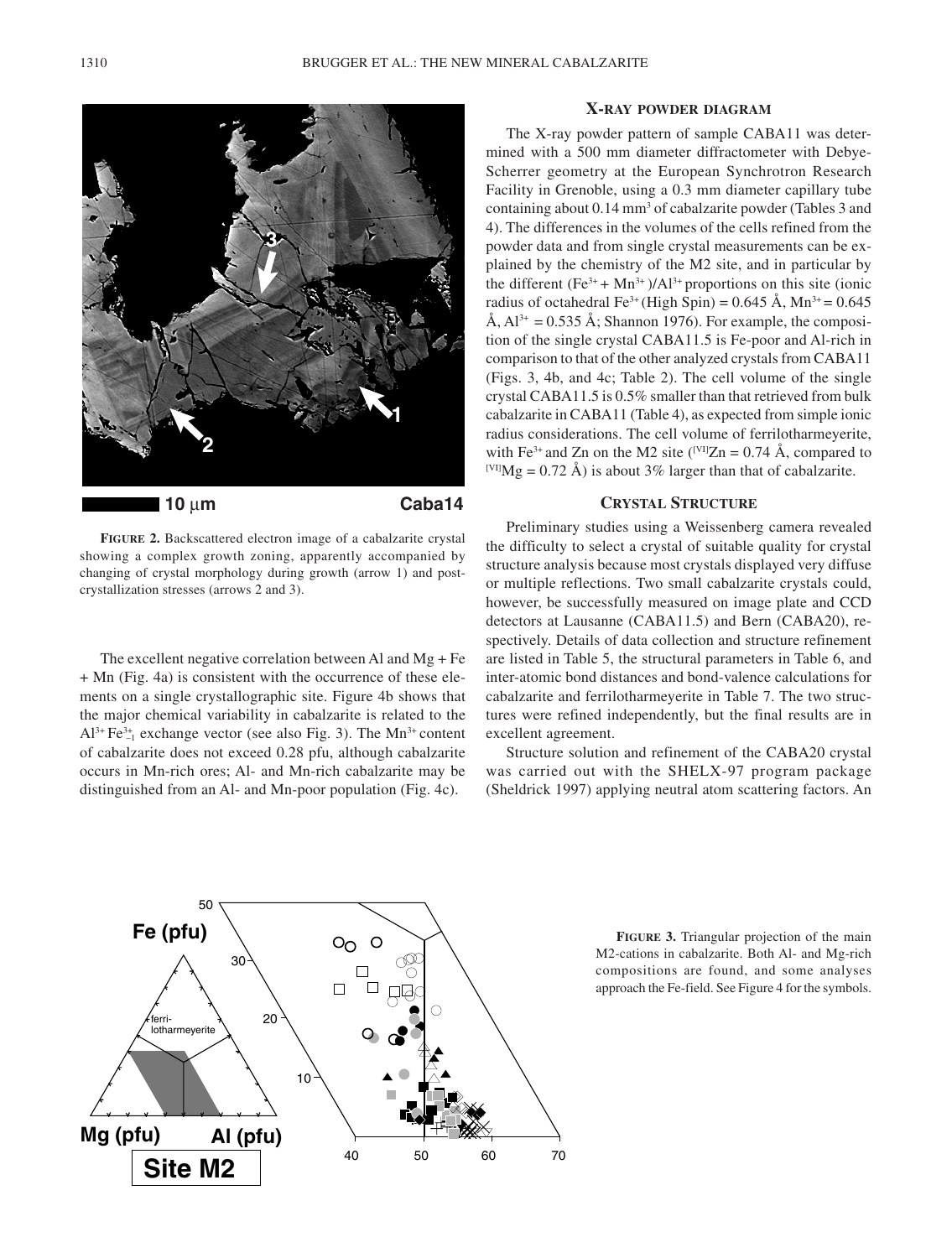

**FIGURE 2.** Backscattered electron image of a cabalzarite crystal showing a complex growth zoning, apparently accompanied by changing of crystal morphology during growth (arrow 1) and postcrystallization stresses (arrows 2 and 3).

The excellent negative correlation between Al and Mg + Fe + Mn (Fig. 4a) is consistent with the occurrence of these elements on a single crystallographic site. Figure 4b shows that the major chemical variability in cabalzarite is related to the  $Al^{3+}Fe^{3+}_{-1}$  exchange vector (see also Fig. 3). The Mn<sup>3+</sup> content of cabalzarite does not exceed 0.28 pfu, although cabalzarite occurs in Mn-rich ores; Al- and Mn-rich cabalzarite may be distinguished from an Al- and Mn-poor population (Fig. 4c).

# **X-RAY POWDER DIAGRAM**

The X-ray powder pattern of sample CABA11 was determined with a 500 mm diameter diffractometer with Debye-Scherrer geometry at the European Synchrotron Research Facility in Grenoble, using a 0.3 mm diameter capillary tube containing about 0.14 mm<sup>3</sup> of cabalzarite powder (Tables 3 and 4). The differences in the volumes of the cells refined from the powder data and from single crystal measurements can be explained by the chemistry of the M2 site, and in particular by the different  $(Fe^{3+} + Mn^{3+})/Al^{3+}$  proportions on this site (ionic radius of octahedral Fe<sup>3+</sup> (High Spin) =  $0.645 \text{ Å}$ , Mn<sup>3+</sup> =  $0.645$ Å,  $Al^{3+} = 0.535$  Å; Shannon 1976). For example, the composition of the single crystal CABA11.5 is Fe-poor and Al-rich in comparison to that of the other analyzed crystals from CABA11 (Figs. 3, 4b, and 4c; Table 2). The cell volume of the single crystal CABA11.5 is 0.5% smaller than that retrieved from bulk cabalzarite in CABA11 (Table 4), as expected from simple ionic radius considerations. The cell volume of ferrilotharmeyerite, with Fe<sup>3+</sup> and Zn on the M2 site (<sup>[VI]</sup>Zn = 0.74 Å, compared to <sup>[VI]</sup>Mg = 0.72 Å) is about 3% larger than that of cabalzarite.

# **CRYSTAL STRUCTURE**

Preliminary studies using a Weissenberg camera revealed the difficulty to select a crystal of suitable quality for crystal structure analysis because most crystals displayed very diffuse or multiple reflections. Two small cabalzarite crystals could, however, be successfully measured on image plate and CCD detectors at Lausanne (CABA11.5) and Bern (CABA20), respectively. Details of data collection and structure refinement are listed in Table 5, the structural parameters in Table 6, and inter-atomic bond distances and bond-valence calculations for cabalzarite and ferrilotharmeyerite in Table 7. The two structures were refined independently, but the final results are in excellent agreement.

Structure solution and refinement of the CABA20 crystal was carried out with the SHELX-97 program package (Sheldrick 1997) applying neutral atom scattering factors. An



**FIGURE 3.** Triangular projection of the main M2-cations in cabalzarite. Both Al- and Mg-rich compositions are found, and some analyses approach the Fe-field. See Figure 4 for the symbols.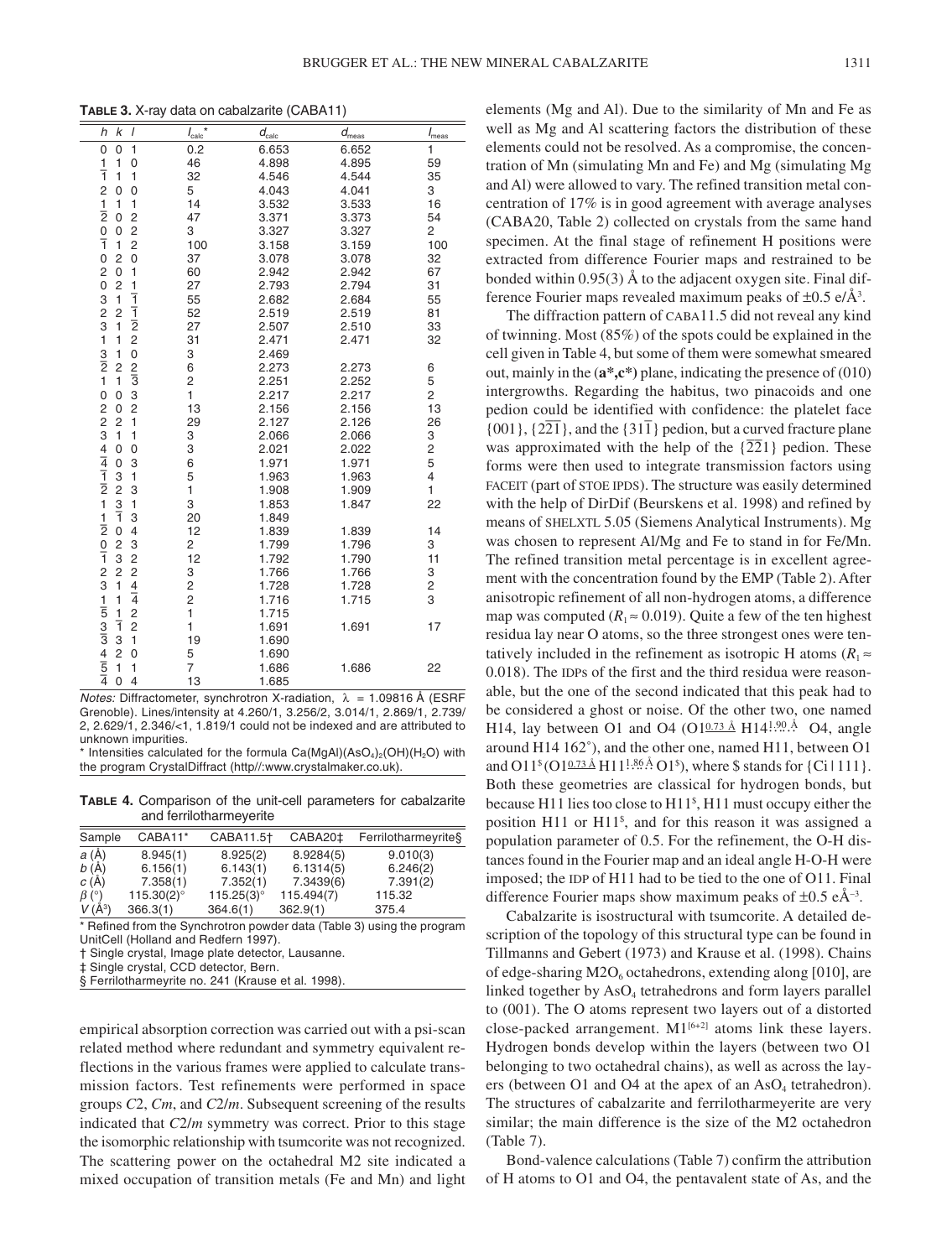**TABLE 3.** X-ray data on cabalzarite (CABA11)

| $\boldsymbol{l}$<br>h<br>k                                    | $I_{\text{calc}}$ * | $d_{\rm calc}$ | $d_{\rm meas}$ | $I_{\text{meas}}$       |
|---------------------------------------------------------------|---------------------|----------------|----------------|-------------------------|
| $\mathbf{1}$<br>$\mathbf 0$<br>$\mathbf 0$                    | 0.2                 | 6.653          | 6.652          | 1                       |
| 1<br>1<br>$\mathbf 0$                                         | 46                  | 4.898          | 4.895          | 59                      |
| $\overline{1}$<br>1<br>1                                      | 32                  | 4.546          | 4.544          | 35                      |
| $\overline{\mathbf{c}}$<br>$\mathbf 0$<br>$\mathbf 0$         | 5                   | 4.043          | 4.041          | 3                       |
| 1<br>1                                                        | 14                  | 3.532          | 3.533          | 16                      |
| $\frac{1}{2}$<br>$\overline{c}$<br>0                          | 47                  | 3.371          | 3.373          | 54                      |
| $\frac{0}{1}$<br>$\overline{\mathbf{c}}$<br>$\mathbf 0$       | 3                   | 3.327          | 3.327          | 2                       |
| $\overline{c}$<br>$\mathbf{1}$                                | 100                 | 3.158          | 3.159          | 100                     |
| $\mathbf 0$<br>0<br>$\overline{c}$                            | 37                  | 3.078          | 3.078          | 32                      |
| $\frac{2}{0}$<br>1<br>0                                       | 60                  | 2.942          | 2.942          | 67                      |
| $\frac{1}{1}$<br>$\overline{2}$                               | 27                  | 2.793          | 2.794          | 31                      |
| $\begin{array}{c} 3 \\ 2 \\ 3 \end{array}$<br>$\mathbf{1}$    | 55                  | 2.682          | 2.684          | 55                      |
| $\frac{1}{2}$<br>2<br>$\overline{c}$                          | 52                  | 2.519          | 2.519          | 81                      |
| 1                                                             | 27                  | 2.507          | 2.510          | 33                      |
| $\overline{1}$<br>1                                           | 31                  | 2.471          | 2.471          | 32                      |
| $\frac{3}{2}$<br>$\mathbf{0}$<br>1                            | 3                   | 2.469          |                |                         |
| $\frac{2}{3}$<br>$\overline{c}$                               | 6                   | 2.273          | 2.273          | 6                       |
| $\mathbf{1}$<br>1                                             | $\overline{c}$      | 2.251          | 2.252          | 5                       |
| 3<br>$\mathbf 0$<br>$\mathbf 0$                               | 1                   | 2.217          | 2.217          | 2                       |
| $\overline{c}$<br>0                                           | 13                  | 2.156          | 2.156          | 13                      |
| $\overline{c}$<br>$\mathbf{1}$                                | 29                  | 2.127          | 2.126          | 26                      |
| 1<br>$\mathbf{1}$                                             | 3                   | 2.066          | 2.066          | 3                       |
| $\mathbf 0$<br>0                                              | 3                   | 2.021          | 2.022          | $\overline{\mathbf{c}}$ |
| 3<br>$\mathbf 0$                                              | 6                   | 1.971          | 1.971          | 5                       |
| 1<br>3                                                        | 5                   | 1.963          | 1.963          | $\overline{4}$          |
| $\frac{2}{3}$<br>3                                            | 1                   | 1.908          | 1.909          | $\mathbf{1}$            |
| 1                                                             | 3                   | 1.853          | 1.847          | 22                      |
| 3<br>ī                                                        | 20                  | 1.849          |                |                         |
| $\mathbf 0$<br>$\overline{4}$                                 | 12                  | 1.839          | 1.839          | 14                      |
| 3<br>$\overline{\mathbf{c}}$                                  | 2                   | 1.799          | 1.796          | 3                       |
| 3<br>$\frac{2}{4}$                                            | 12                  | 1.792          | 1.790          | 11                      |
| $\overline{2}$                                                | 3                   | 1.766          | 1.766          | 3                       |
| 1                                                             | $\frac{2}{2}$       | 1.728          | 1.728          | 2                       |
| $\mathbf{1}$                                                  |                     | 1.716          | 1.715          | 3                       |
| $\frac{2}{2}$<br>1                                            | $\mathbf{1}$        | 1.715          |                |                         |
| ī                                                             | 1                   | 1.691          | 1.691          | 17                      |
| 2 2 3 4 4 1 1 2 1 1 2 0 1 2 3 1 1 5 3 1 3 4 1 5 1 4<br>3<br>1 | 19                  | 1.690          |                |                         |
| $\overline{2}$<br>$\overline{0}$                              | 5                   | 1.690          |                |                         |
| 1<br>1                                                        | $\overline{7}$      | 1.686          | 1.686          | 22                      |
| $\overline{0}$<br>$\overline{4}$                              | 13                  | 1.685          |                |                         |

*Notes:* Diffractometer, synchrotron X-radiation,  $\lambda = 1.09816 \text{ Å}$  (ESRF Grenoble). Lines/intensity at 4.260/1, 3.256/2, 3.014/1, 2.869/1, 2.739/ 2, 2.629/1, 2.346/<1, 1.819/1 could not be indexed and are attributed to unknown impurities.

 $*$  Intensities calculated for the formula  $Ca(MgAl)(AsO<sub>4</sub>)<sub>2</sub>(OH)(H<sub>2</sub>O)$  with the program CrystalDiffract (http//:www.crystalmaker.co.uk).

**TABLE 4.** Comparison of the unit-cell parameters for cabalzarite and ferrilotharmeyerite

| Sample                  | CABA11*       | CABA11.5 <sup>+</sup> | CABA20 <sup>±</sup> | Ferrilotharmeyrite§ |
|-------------------------|---------------|-----------------------|---------------------|---------------------|
| $a(\AA)$                | 8.945(1)      | 8.925(2)              | 8.9284(5)           | 9.010(3)            |
| b(A)                    | 6.156(1)      | 6.143(1)              | 6.1314(5)           | 6.246(2)            |
| c(A)                    | 7.358(1)      | 7.352(1)              | 7.3439(6)           | 7.391(2)            |
| $\beta$ (°)<br>$V(A^3)$ | $115.30(2)$ ° | $115.25(3)$ °         | 115.494(7)          | 115.32              |
|                         | 366.3(1)      | 364.6(1)              | 362.9(1)            | 375.4               |

\* Refined from the Synchrotron powder data (Table 3) using the program UnitCell (Holland and Redfern 1997).

† Single crystal, Image plate detector, Lausanne.

‡ Single crystal, CCD detector, Bern.

§ Ferrilotharmeyrite no. 241 (Krause et al. 1998).

empirical absorption correction was carried out with a psi-scan related method where redundant and symmetry equivalent reflections in the various frames were applied to calculate transmission factors. Test refinements were performed in space groups *C*2, *Cm*, and *C*2/*m*. Subsequent screening of the results indicated that *C*2/*m* symmetry was correct. Prior to this stage the isomorphic relationship with tsumcorite was not recognized. The scattering power on the octahedral M2 site indicated a mixed occupation of transition metals (Fe and Mn) and light elements (Mg and Al). Due to the similarity of Mn and Fe as well as Mg and Al scattering factors the distribution of these elements could not be resolved. As a compromise, the concentration of Mn (simulating Mn and Fe) and Mg (simulating Mg and Al) were allowed to vary. The refined transition metal concentration of 17% is in good agreement with average analyses (CABA20, Table 2) collected on crystals from the same hand specimen. At the final stage of refinement H positions were extracted from difference Fourier maps and restrained to be bonded within 0.95(3) Å to the adjacent oxygen site. Final difference Fourier maps revealed maximum peaks of  $\pm 0.5$  e/Å<sup>3</sup>.

The diffraction pattern of CABA11.5 did not reveal any kind of twinning. Most (85%) of the spots could be explained in the cell given in Table 4, but some of them were somewhat smeared out, mainly in the (**a\*,c\*)** plane, indicating the presence of (010) intergrowths. Regarding the habitus, two pinacoids and one pedion could be identified with confidence: the platelet face  ${001}$ ,  ${221}$ , and the  ${317}$  pedion, but a curved fracture plane was approximated with the help of the  $\{221\}$  pedion. These forms were then used to integrate transmission factors using FACEIT (part of STOE IPDS). The structure was easily determined with the help of DirDif (Beurskens et al. 1998) and refined by means of SHELXTL 5.05 (Siemens Analytical Instruments). Mg was chosen to represent Al/Mg and Fe to stand in for Fe/Mn. The refined transition metal percentage is in excellent agreement with the concentration found by the EMP (Table 2). After anisotropic refinement of all non-hydrogen atoms, a difference map was computed ( $R_1 \approx 0.019$ ). Quite a few of the ten highest residua lay near O atoms, so the three strongest ones were tentatively included in the refinement as isotropic H atoms  $(R_1 \approx$ 0.018). The IDPs of the first and the third residua were reasonable, but the one of the second indicated that this peak had to be considered a ghost or noise. Of the other two, one named H14, lay between O1 and O4 (O1 $\frac{0.73 \text{ Å}}{0.73 \text{ Å}}$  H14<sup>1,90</sup>. <sup>Å</sup> O4, angle around H14 162˚), and the other one, named H11, between O1 and O11<sup>§</sup> (O1 $\frac{0.73 \text{ Å}}{111...}$  H1<sup>1.86</sup>Å O1<sup>§</sup>), where \$ stands for {Ci | 111}. Both these geometries are classical for hydrogen bonds, but because H11 lies too close to H11\$ , H11 must occupy either the position H11 or H11\$ , and for this reason it was assigned a population parameter of 0.5. For the refinement, the O-H distances found in the Fourier map and an ideal angle H-O-H were imposed; the IDP of H11 had to be tied to the one of O11. Final difference Fourier maps show maximum peaks of  $\pm 0.5$  eÅ<sup>-3</sup>.

Cabalzarite is isostructural with tsumcorite. A detailed description of the topology of this structural type can be found in Tillmanns and Gebert (1973) and Krause et al. (1998). Chains of edge-sharing  $M2O<sub>6</sub>$  octahedrons, extending along [010], are linked together by AsO<sub>4</sub> tetrahedrons and form layers parallel to (001). The O atoms represent two layers out of a distorted close-packed arrangement.  $M1^{[6+2]}$  atoms link these layers. Hydrogen bonds develop within the layers (between two O1 belonging to two octahedral chains), as well as across the layers (between  $O1$  and  $O4$  at the apex of an As $O<sub>4</sub>$  tetrahedron). The structures of cabalzarite and ferrilotharmeyerite are very similar; the main difference is the size of the M2 octahedron (Table 7).

Bond-valence calculations (Table 7) confirm the attribution of H atoms to O1 and O4, the pentavalent state of As, and the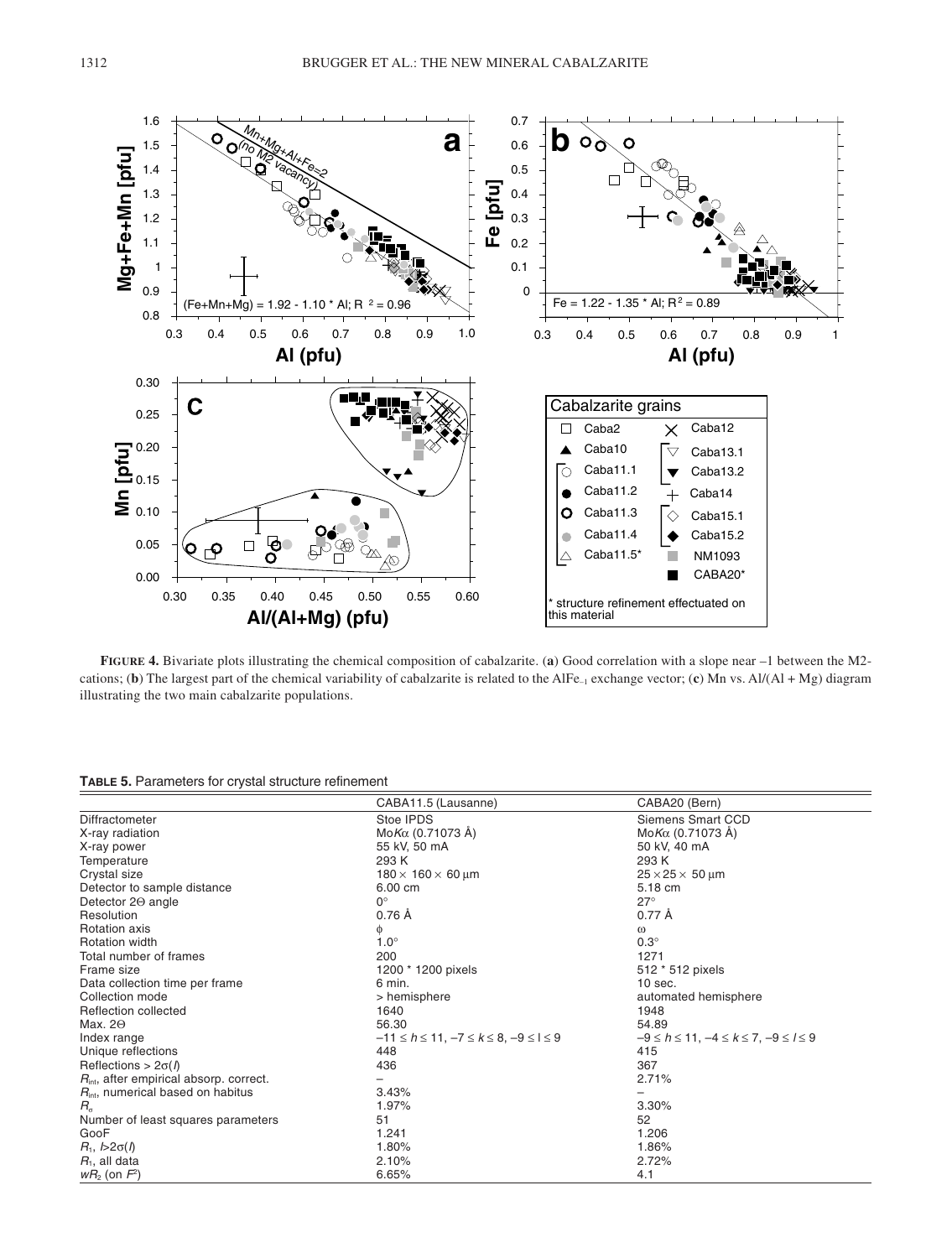

**FIGURE 4.** Bivariate plots illustrating the chemical composition of cabalzarite. (**a**) Good correlation with a slope near –1 between the M2 cations; (**b**) The largest part of the chemical variability of cabalzarite is related to the AlFe–1 exchange vector; (**c**) Mn vs. Al/(Al + Mg) diagram illustrating the two main cabalzarite populations.

**TABLE 5.** Parameters for crystal structure refinement

|                                                     | CABA11.5 (Lausanne)                                      | CABA20 (Bern)                                           |
|-----------------------------------------------------|----------------------------------------------------------|---------------------------------------------------------|
| Diffractometer                                      | Stoe IPDS                                                | Siemens Smart CCD                                       |
| X-ray radiation                                     | $Mo$ <i>Kα</i> (0.71073 Å)                               | Mo $K\alpha$ (0.71073 Å)                                |
| X-ray power                                         | 55 kV, 50 mA                                             | 50 kV, 40 mA                                            |
| Temperature                                         | 293 K                                                    | 293 K                                                   |
| Crystal size                                        | $180 \times 160 \times 60 \,\text{\ensuremath{\mu}m}$    | $25 \times 25 \times 50$ µm                             |
| Detector to sample distance                         | 6.00 cm                                                  | 5.18 cm                                                 |
| Detector 20 angle                                   | $0^{\circ}$                                              | $27^\circ$                                              |
| Resolution                                          | 0.76 Å                                                   | 0.77 Å                                                  |
| <b>Rotation axis</b>                                | φ                                                        | $\omega$                                                |
| <b>Rotation width</b>                               | $1.0^\circ$                                              | $0.3^\circ$                                             |
| Total number of frames                              | 200                                                      | 1271                                                    |
| Frame size                                          | 1200 * 1200 pixels                                       | 512 * 512 pixels                                        |
| Data collection time per frame                      | 6 min.                                                   | $10$ sec.                                               |
| Collection mode                                     | > hemisphere                                             | automated hemisphere                                    |
| Reflection collected                                | 1640                                                     | 1948                                                    |
| Max. $2\Theta$                                      | 56.30                                                    | 54.89                                                   |
| Index range                                         | $-11 \le h \le 11$ , $-7 \le k \le 8$ , $-9 \le l \le 9$ | $-9 \le h \le 11$ , $-4 \le k \le 7$ , $-9 \le l \le 9$ |
| Unique reflections                                  | 448                                                      | 415                                                     |
| Reflections > $2\sigma(h)$                          | 436                                                      | 367                                                     |
| $R_{\text{int}}$ , after empirical absorp. correct. |                                                          | 2.71%                                                   |
| $R_{\text{int}}$ , numerical based on habitus       | 3.43%                                                    |                                                         |
| $R_{\alpha}$                                        | 1.97%                                                    | 3.30%                                                   |
| Number of least squares parameters                  | 51                                                       | 52                                                      |
| GooF                                                | 1.241                                                    | 1.206                                                   |
| $R_1, b>2\sigma(f)$                                 | 1.80%                                                    | 1.86%                                                   |
| $R1$ , all data                                     | 2.10%                                                    | 2.72%                                                   |
| $wR_2$ (on $F^2$ )                                  | 6.65%                                                    | 4.1                                                     |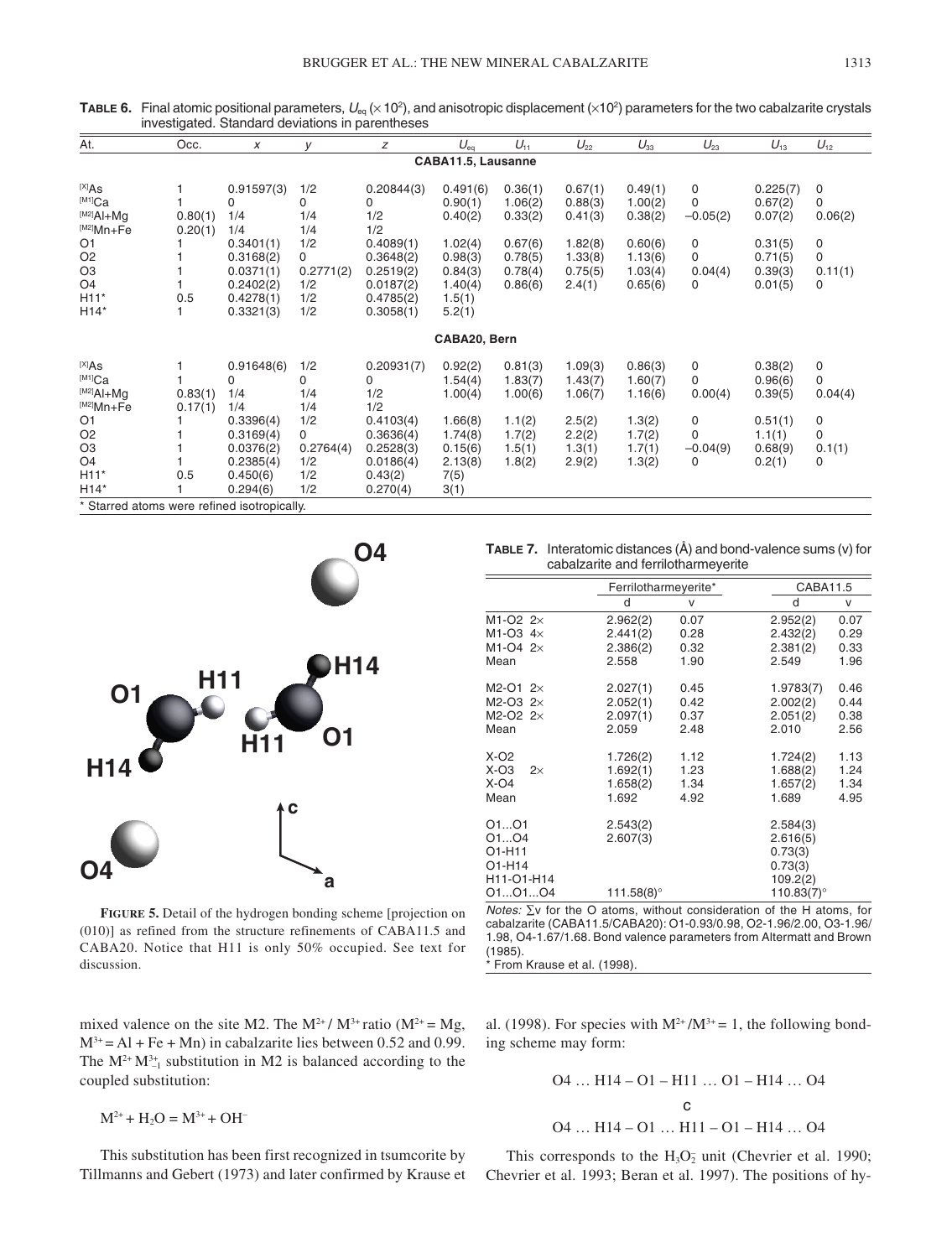| At.                                         | Occ.    | $\boldsymbol{x}$ | V         | Ζ          | $U_{eq}$           | $U_{11}$ | $U_{22}$ | $U_{33}$ | $U_{23}$    | $U_{13}$ | $U_{12}$ |
|---------------------------------------------|---------|------------------|-----------|------------|--------------------|----------|----------|----------|-------------|----------|----------|
|                                             |         |                  |           |            | CABA11.5, Lausanne |          |          |          |             |          |          |
| $[X]$ As                                    |         | 0.91597(3)       | 1/2       | 0.20844(3) | 0.491(6)           | 0.36(1)  | 0.67(1)  | 0.49(1)  | 0           | 0.225(7) | 0        |
| $^{[M1]}$ Ca                                |         | 0                | 0         | 0          | 0.90(1)            | 1.06(2)  | 0.88(3)  | 1.00(2)  | $\mathbf 0$ | 0.67(2)  | 0        |
| $[M^2]$ Al+Mq                               | 0.80(1) | 1/4              | 1/4       | 1/2        | 0.40(2)            | 0.33(2)  | 0.41(3)  | 0.38(2)  | $-0.05(2)$  | 0.07(2)  | 0.06(2)  |
| [M2]Mn+Fe                                   | 0.20(1) | 1/4              | 1/4       | 1/2        |                    |          |          |          |             |          |          |
| O <sub>1</sub>                              |         | 0.3401(1)        | 1/2       | 0.4089(1)  | 1.02(4)            | 0.67(6)  | 1.82(8)  | 0.60(6)  | 0           | 0.31(5)  | 0        |
| O <sub>2</sub>                              |         | 0.3168(2)        | 0         | 0.3648(2)  | 0.98(3)            | 0.78(5)  | 1.33(8)  | 1.13(6)  | 0           | 0.71(5)  | 0        |
| O <sub>3</sub>                              |         | 0.0371(1)        | 0.2771(2) | 0.2519(2)  | 0.84(3)            | 0.78(4)  | 0.75(5)  | 1.03(4)  | 0.04(4)     | 0.39(3)  | 0.11(1)  |
| O <sub>4</sub>                              |         | 0.2402(2)        | 1/2       | 0.0187(2)  | 1.40(4)            | 0.86(6)  | 2.4(1)   | 0.65(6)  | 0           | 0.01(5)  | 0        |
| $H11*$                                      | 0.5     | 0.4278(1)        | 1/2       | 0.4785(2)  | 1.5(1)             |          |          |          |             |          |          |
| $H14*$                                      |         | 0.3321(3)        | 1/2       | 0.3058(1)  | 5.2(1)             |          |          |          |             |          |          |
|                                             |         |                  |           |            | CABA20, Bern       |          |          |          |             |          |          |
| (X X)                                       |         | 0.91648(6)       | 1/2       | 0.20931(7) | 0.92(2)            | 0.81(3)  | 1.09(3)  | 0.86(3)  | 0           | 0.38(2)  | 0        |
| $^{[M1]}Ca$                                 |         | 0                | 0         | 0          | 1.54(4)            | 1.83(7)  | 1.43(7)  | 1.60(7)  | 0           | 0.96(6)  | 0        |
| $[M2]$ Al+Mq                                | 0.83(1) | 1/4              | 1/4       | 1/2        | 1.00(4)            | 1.00(6)  | 1.06(7)  | 1.16(6)  | 0.00(4)     | 0.39(5)  | 0.04(4)  |
| $^{[M2]}Mn+Fe$                              | 0.17(1) | 1/4              | 1/4       | 1/2        |                    |          |          |          |             |          |          |
| O <sub>1</sub>                              |         | 0.3396(4)        | 1/2       | 0.4103(4)  | 1.66(8)            | 1.1(2)   | 2.5(2)   | 1.3(2)   | 0           | 0.51(1)  | 0        |
| O <sub>2</sub>                              |         | 0.3169(4)        | 0         | 0.3636(4)  | 1.74(8)            | 1.7(2)   | 2.2(2)   | 1.7(2)   | $\mathbf 0$ | 1.1(1)   | 0        |
| O <sub>3</sub>                              |         | 0.0376(2)        | 0.2764(4) | 0.2528(3)  | 0.15(6)            | 1.5(1)   | 1.3(1)   | 1.7(1)   | $-0.04(9)$  | 0.68(9)  | 0.1(1)   |
| O <sub>4</sub>                              |         | 0.2385(4)        | 1/2       | 0.0186(4)  | 2.13(8)            | 1.8(2)   | 2.9(2)   | 1.3(2)   | 0           | 0.2(1)   | 0        |
| $H11*$                                      | 0.5     | 0.450(6)         | 1/2       | 0.43(2)    | 7(5)               |          |          |          |             |          |          |
| $H14*$                                      |         | 0.294(6)         | 1/2       | 0.270(4)   | 3(1)               |          |          |          |             |          |          |
| * Starred atoms were refined isotropically. |         |                  |           |            |                    |          |          |          |             |          |          |

**TABLE 6.** Final atomic positional parameters,  $U_{\rm eq}$  ( $\times$  10<sup>2</sup>), and anisotropic displacement ( $\times$ 10<sup>2</sup>) parameters for the two cabalzarite crystals investigated. Standard deviations in parentheses



**FIGURE 5.** Detail of the hydrogen bonding scheme [projection on (010)] as refined from the structure refinements of CABA11.5 and CABA20. Notice that H11 is only 50% occupied. See text for discussion.

mixed valence on the site M2. The  $M^{2+}/ M^{3+}$  ratio ( $M^{2+} = Mg$ ,  $M^{3+} = Al + Fe + Mn$ ) in cabalzarite lies between 0.52 and 0.99. The  $M^{2+} M^{3+}_{-1}$  substitution in M2 is balanced according to the coupled substitution:

$$
M^{2+} + H_2O = M^{3+} + OH^{-}
$$

This substitution has been first recognized in tsumcorite by Tillmanns and Gebert (1973) and later confirmed by Krause et

**TABLE 7.** Interatomic distances (Å) and bond-valence sums (v) for cabalzarite and ferrilotharmeyerite

|                                                                     | Ferrilotharmeyerite*                       |                              | CABA11.5                                                                 |                              |
|---------------------------------------------------------------------|--------------------------------------------|------------------------------|--------------------------------------------------------------------------|------------------------------|
|                                                                     | d                                          | V                            | d                                                                        | v                            |
| M1-O2 $2\times$                                                     | 2.962(2)                                   | 0.07                         | 2.952(2)                                                                 | 0.07                         |
| M1-O3 $4\times$                                                     | 2.441(2)                                   | 0.28                         | 2.432(2)                                                                 | 0.29                         |
| M1-O4 $2\times$                                                     | 2.386(2)                                   | 0.32                         | 2.381(2)                                                                 | 0.33                         |
| Mean                                                                | 2.558                                      | 1.90                         | 2.549                                                                    | 1.96                         |
| $M2-O1$ 2 $\times$<br>M2-O3 $2\times$<br>$M2-O2$ 2 $\times$<br>Mean | 2.027(1)<br>2.052(1)<br>2.097(1)<br>2.059  | 0.45<br>0.42<br>0.37<br>2.48 | 1.9783(7)<br>2.002(2)<br>2.051(2)<br>2.010                               | 0.46<br>0.44<br>0.38<br>2.56 |
| $X-O2$<br>$X-O3$<br>$2\times$<br>$X-O4$<br>Mean                     | 1.726(2)<br>1.692(1)<br>1.658(2)<br>1.692  | 1.12<br>1.23<br>1.34<br>4.92 | 1.724(2)<br>1.688(2)<br>1.657(2)<br>1.689                                | 1.13<br>1.24<br>1.34<br>4.95 |
| 0101<br>O1O4<br>O1-H11<br>O1-H14<br>H11-O1-H14<br>010104            | 2.543(2)<br>2.607(3)<br>111.58 $(8)^\circ$ |                              | 2.584(3)<br>2.616(5)<br>0.73(3)<br>0.73(3)<br>109.2(2)<br>110.83 $(7)$ ° |                              |

Notes: ∑v for the O atoms, without consideration of the H atoms, for cabalzarite (CABA11.5/CABA20): O1-0.93/0.98, O2-1.96/2.00, O3-1.96/ 1.98, O4-1.67/1.68. Bond valence parameters from Altermatt and Brown (1985).

From Krause et al. (1998).

al. (1998). For species with  $M^{2+}/M^{3+} = 1$ , the following bonding scheme may form:

$$
04... H14 - 01 - H11... 01 - H14... 04
$$
  
c  
04... H14 - 01... H11 - 01 - H14... 04

This corresponds to the  $H_3O_2$  unit (Chevrier et al. 1990; Chevrier et al. 1993; Beran et al. 1997). The positions of hy